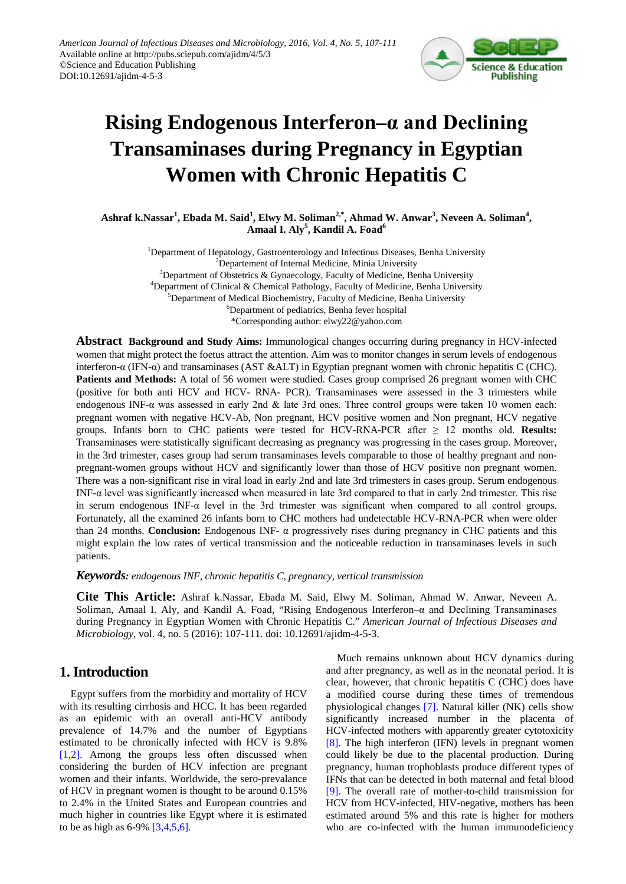

# **Rising Endogenous Interferon–α and Declining Transaminases during Pregnancy in Egyptian Women with Chronic Hepatitis C**

Ashraf k.Nassar<sup>1</sup>, Ebada M. Said<sup>1</sup>, Elwy M. Soliman<sup>2,\*</sup>, Ahmad W. Anwar<sup>3</sup>, Neveen A. Soliman<sup>4</sup>, **Amaal I. Aly<sup>5</sup> , Kandil A. Foad6**

> <sup>1</sup>Department of Hepatology, Gastroenterology and Infectious Diseases, Benha University <sup>2</sup>Departement of Internal Medicine, Minia University <sup>3</sup>Department of Obstetrics & Gynaecology, Faculty of Medicine, Benha University <sup>4</sup>Department of Clinical & Chemical Pathology, Faculty of Medicine, Benha University <sup>5</sup>Department of Medical Biochemistry, Faculty of Medicine, Benha University 6 Department of pediatrics, Benha fever hospital \*Corresponding author: elwy22@yahoo.com

**Abstract Background and Study Aims:** Immunological changes occurring during pregnancy in HCV-infected women that might protect the foetus attract the attention. Aim was to monitor changes in serum levels of endogenous interferon-α (IFN-α) and transaminases (AST &ALT) in Egyptian pregnant women with chronic hepatitis C (CHC). **Patients and Methods:** A total of 56 women were studied. Cases group comprised 26 pregnant women with CHC (positive for both anti HCV and HCV- RNA- PCR). Transaminases were assessed in the 3 trimesters while endogenous INF-α was assessed in early 2nd & late 3rd ones. Three control groups were taken 10 women each: pregnant women with negative HCV-Ab, Non pregnant, HCV positive women and Non pregnant, HCV negative groups. Infants born to CHC patients were tested for HCV-RNA-PCR after ≥ 12 months old. **Results:** Transaminases were statistically significant decreasing as pregnancy was progressing in the cases group. Moreover, in the 3rd trimester, cases group had serum transaminases levels comparable to those of healthy pregnant and nonpregnant-women groups without HCV and significantly lower than those of HCV positive non pregnant women. There was a non-significant rise in viral load in early 2nd and late 3rd trimesters in cases group. Serum endogenous INF-α level was significantly increased when measured in late 3rd compared to that in early 2nd trimester. This rise in serum endogenous INF- $\alpha$  level in the 3rd trimester was significant when compared to all control groups. Fortunately, all the examined 26 infants born to CHC mothers had undetectable HCV-RNA-PCR when were older than 24 months. **Conclusion:** Endogenous INF- α progressively rises during pregnancy in CHC patients and this might explain the low rates of vertical transmission and the noticeable reduction in transaminases levels in such patients.

*Keywords: endogenous INF, chronic hepatitis C, pregnancy, vertical transmission*

**Cite This Article:** Ashraf k.Nassar, Ebada M. Said, Elwy M. Soliman, Ahmad W. Anwar, Neveen A. Soliman, Amaal I. Aly, and Kandil A. Foad, "Rising Endogenous Interferon–α and Declining Transaminases during Pregnancy in Egyptian Women with Chronic Hepatitis C." *American Journal of Infectious Diseases and Microbiology*, vol. 4, no. 5 (2016): 107-111. doi: 10.12691/ajidm-4-5-3.

## **1. Introduction**

Egypt suffers from the morbidity and mortality of HCV with its resulting cirrhosis and HCC. It has been regarded as an epidemic with an overall anti-HCV antibody prevalence of 14.7% and the number of Egyptians estimated to be chronically infected with HCV is 9.8% [\[1,2\].](#page-4-0) Among the groups less often discussed when considering the burden of HCV infection are pregnant women and their infants. Worldwide, the sero-prevalance of HCV in pregnant women is thought to be around 0.15% to 2.4% in the United States and European countries and much higher in countries like Egypt where it is estimated to be as high as 6-9% [\[3,4,5,6\].](#page-4-1)

Much remains unknown about HCV dynamics during and after pregnancy, as well as in the neonatal period. It is clear, however, that chronic hepatitis C (CHC) does have a modified course during these times of tremendous physiological changes [\[7\].](#page-4-2) Natural killer (NK) cells show significantly increased number in the placenta of HCV-infected mothers with apparently greater cytotoxicity [\[8\].](#page-4-3) The high interferon (IFN) levels in pregnant women could likely be due to the placental production. During pregnancy, human trophoblasts produce different types of IFNs that can be detected in both maternal and fetal blood [\[9\].](#page-4-4) The overall rate of mother-to-child transmission for HCV from HCV-infected, HIV-negative, mothers has been estimated around 5% and this rate is higher for mothers who are co-infected with the human immunodeficiency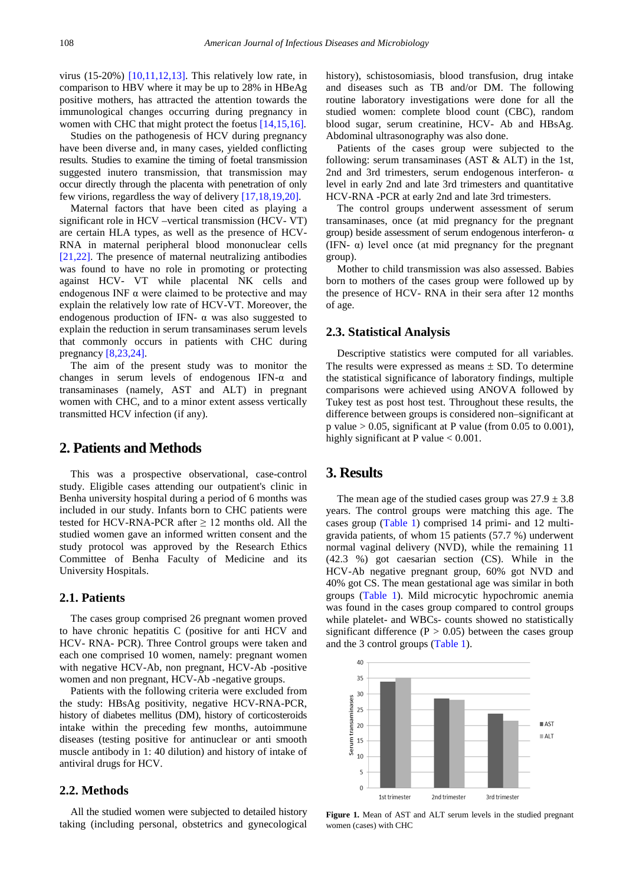virus (15-20%) [\[10,11,12,13\].](#page-4-5) This relatively low rate, in comparison to HBV where it may be up to 28% in HBeAg positive mothers, has attracted the attention towards the immunological changes occurring during pregnancy in women with CHC that might protect the foetus [\[14,15,16\].](#page-4-6)

Studies on the pathogenesis of HCV during pregnancy have been diverse and, in many cases, yielded conflicting results. Studies to examine the timing of foetal transmission suggested inutero transmission, that transmission may occur directly through the placenta with penetration of only few virions, regardless the way of delivery [\[17,18,19,20\].](#page-4-7)

Maternal factors that have been cited as playing a significant role in HCV –vertical transmission (HCV- VT) are certain HLA types, as well as the presence of HCV-RNA in maternal peripheral blood mononuclear cells [\[21,22\].](#page-4-8) The presence of maternal neutralizing antibodies was found to have no role in promoting or protecting against HCV- VT while placental NK cells and endogenous INF  $\alpha$  were claimed to be protective and may explain the relatively low rate of HCV-VT. Moreover, the endogenous production of IFN-  $\alpha$  was also suggested to explain the reduction in serum transaminases serum levels that commonly occurs in patients with CHC during pregnancy [\[8,23,24\].](#page-4-3)

The aim of the present study was to monitor the changes in serum levels of endogenous IFN-α and transaminases (namely, AST and ALT) in pregnant women with CHC, and to a minor extent assess vertically transmitted HCV infection (if any).

## **2. Patients and Methods**

This was a prospective observational, case-control study. Eligible cases attending our outpatient's clinic in Benha university hospital during a period of 6 months was included in our study. Infants born to CHC patients were tested for HCV-RNA-PCR after  $\geq 12$  months old. All the studied women gave an informed written consent and the study protocol was approved by the Research Ethics Committee of Benha Faculty of Medicine and its University Hospitals.

#### **2.1. Patients**

The cases group comprised 26 pregnant women proved to have chronic hepatitis C (positive for anti HCV and HCV- RNA- PCR). Three Control groups were taken and each one comprised 10 women, namely: pregnant women with negative HCV-Ab, non pregnant, HCV-Ab -positive women and non pregnant, HCV-Ab -negative groups.

Patients with the following criteria were excluded from the study: HBsAg positivity, negative HCV-RNA-PCR, history of diabetes mellitus (DM), history of corticosteroids intake within the preceding few months, autoimmune diseases (testing positive for antinuclear or anti smooth muscle antibody in 1: 40 dilution) and history of intake of antiviral drugs for HCV.

### **2.2. Methods**

All the studied women were subjected to detailed history taking (including personal, obstetrics and gynecological history), schistosomiasis, blood transfusion, drug intake and diseases such as TB and/or DM. The following routine laboratory investigations were done for all the studied women: complete blood count (CBC), random blood sugar, serum creatinine, HCV- Ab and HBsAg. Abdominal ultrasonography was also done.

Patients of the cases group were subjected to the following: serum transaminases (AST & ALT) in the 1st, 2nd and 3rd trimesters, serum endogenous interferon- $\alpha$ level in early 2nd and late 3rd trimesters and quantitative HCV-RNA -PCR at early 2nd and late 3rd trimesters.

The control groups underwent assessment of serum transaminases, once (at mid pregnancy for the pregnant group) beside assessment of serum endogenous interferon- α (IFN-  $\alpha$ ) level once (at mid pregnancy for the pregnant group).

Mother to child transmission was also assessed. Babies born to mothers of the cases group were followed up by the presence of HCV- RNA in their sera after 12 months of age.

#### **2.3. Statistical Analysis**

Descriptive statistics were computed for all variables. The results were expressed as means  $\pm$  SD. To determine the statistical significance of laboratory findings, multiple comparisons were achieved using ANOVA followed by Tukey test as post host test. Throughout these results, the difference between groups is considered non–significant at p value  $> 0.05$ , significant at P value (from 0.05 to 0.001), highly significant at P value  $< 0.001$ .

#### **3. Results**

The mean age of the studied cases group was  $27.9 \pm 3.8$ years. The control groups were matching this age. The cases group [\(Table 1\)](#page-2-0) comprised 14 primi- and 12 multigravida patients, of whom 15 patients (57.7 %) underwent normal vaginal delivery (NVD), while the remaining 11 (42.3 %) got caesarian section (CS). While in the HCV-Ab negative pregnant group, 60% got NVD and 40% got CS. The mean gestational age was similar in both groups [\(Table 1\)](#page-2-0). Mild microcytic hypochromic anemia was found in the cases group compared to control groups while platelet- and WBCs- counts showed no statistically significant difference ( $P > 0.05$ ) between the cases group and the 3 control groups [\(Table 1\)](#page-2-0).

<span id="page-1-0"></span>

**Figure 1.** Mean of AST and ALT serum levels in the studied pregnant women (cases) with CHC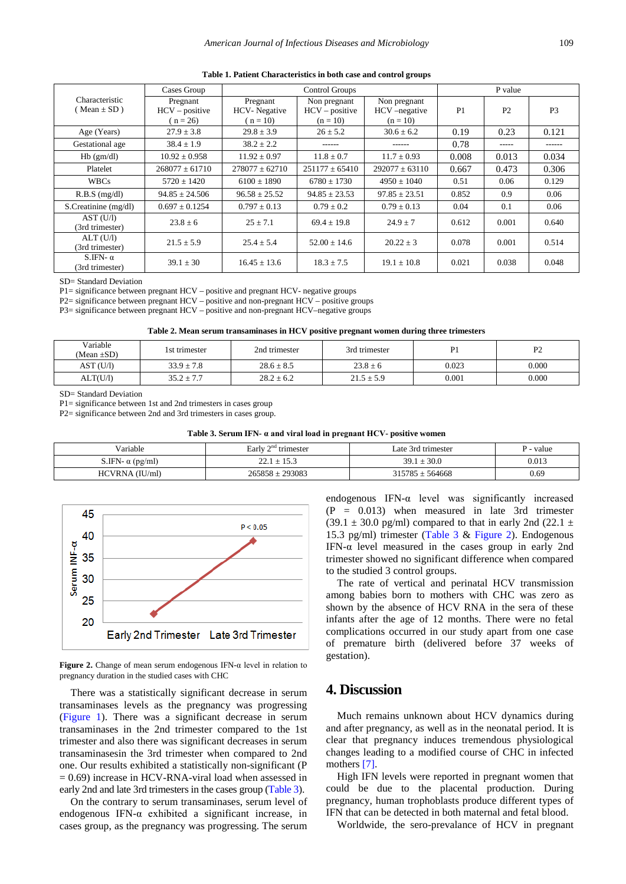<span id="page-2-0"></span>

|                                    | Cases Group                              | Control Groups                                 |                                                |                                            | P value        |                |                |
|------------------------------------|------------------------------------------|------------------------------------------------|------------------------------------------------|--------------------------------------------|----------------|----------------|----------------|
| Characteristic<br>(Mean $\pm$ SD)  | Pregnant<br>$HCV - positive$<br>$n = 26$ | Pregnant<br><b>HCV-</b> Negative<br>$(n = 10)$ | Non pregnant<br>$HCV - positive$<br>$(n = 10)$ | Non pregnant<br>HCV-negative<br>$(n = 10)$ | P <sub>1</sub> | P <sub>2</sub> | P <sub>3</sub> |
| Age (Years)                        | $27.9 \pm 3.8$                           | $29.8 \pm 3.9$                                 | $26 \pm 5.2$                                   | $30.6 \pm 6.2$                             | 0.19           | 0.23           | 0.121          |
| Gestational age                    | $38.4 \pm 1.9$                           | $38.2 \pm 2.2$                                 | ------                                         | ------                                     | 0.78           | -----          | ------         |
| $Hb$ (gm/dl)                       | $10.92 \pm 0.958$                        | $11.92 \pm 0.97$                               | $11.8 \pm 0.7$                                 | $11.7 \pm 0.93$                            | 0.008          | 0.013          | 0.034          |
| Platelet                           | $268077 \pm 61710$                       | $278077 \pm 62710$                             | $251177 \pm 65410$                             | $292077 \pm 63110$                         | 0.667          | 0.473          | 0.306          |
| <b>WBCs</b>                        | $5720 \pm 1420$                          | $6100 \pm 1890$                                | $6780 \pm 1730$                                | $4950 \pm 1040$                            | 0.51           | 0.06           | 0.129          |
| R.B.S (mg/dl)                      | $94.85 \pm 24.506$                       | $96.58 \pm 25.52$                              | $94.85 \pm 23.53$                              | $97.85 \pm 23.51$                          | 0.852          | 0.9            | 0.06           |
| S.Creatinine (mg/dl)               | $0.697 \pm 0.1254$                       | $0.797 \pm 0.13$                               | $0.79 \pm 0.2$                                 | $0.79 \pm 0.13$                            | 0.04           | 0.1            | 0.06           |
| AST (U/I)<br>(3rd trimester)       | $23.8 \pm 6$                             | $25 + 7.1$                                     | $69.4 \pm 19.8$                                | $24.9 \pm 7$                               | 0.612          | 0.001          | 0.640          |
| ALT (U/l)<br>(3rd trimester)       | $21.5 \pm 5.9$                           | $25.4 \pm 5.4$                                 | $52.00 \pm 14.6$                               | $20.22 \pm 3$                              | 0.078          | 0.001          | 0.514          |
| S.IFN- $\alpha$<br>(3rd trimester) | $39.1 \pm 30$                            | $16.45 \pm 13.6$                               | $18.3 \pm 7.5$                                 | $19.1 \pm 10.8$                            | 0.021          | 0.038          | 0.048          |

**Table 1. Patient Characteristics in both case and control groups** 

SD= Standard Deviation

P1= significance between pregnant HCV – positive and pregnant HCV- negative groups

P2= significance between pregnant HCV – positive and non-pregnant HCV – positive groups

P3= significance between pregnant HCV – positive and non-pregnant HCV–negative groups

| Table 2. Mean serum transaminases in HCV positive pregnant women during three trimesters |  |  |  |
|------------------------------------------------------------------------------------------|--|--|--|
|------------------------------------------------------------------------------------------|--|--|--|

| Variable<br>$Mean \pm SD$ | 1st trimester  | 2nd trimester  | 3rd trimester  | D     | $\mathbf{D}$ |
|---------------------------|----------------|----------------|----------------|-------|--------------|
| AST (U/l)                 | $33.9 \pm 7.8$ | $28.6 \pm 8.5$ | $23.8 \pm 6$   | 0.023 | 0.000        |
| ALT(U/I)                  | $35.2 \pm 7.7$ | $28.2 \pm 6.2$ | $21.5 \pm 5.9$ | 0.001 | 0.000        |

SD= Standard Deviation

P1= significance between 1st and 2nd trimesters in cases group

P2= significance between 2nd and 3rd trimesters in cases group.

**Table 3. Serum IFN- α and viral load in pregnant HCV- positive women** 

<span id="page-2-1"></span>

| Variable                | Early $2^{nd}$ trimester | Late 3rd trimester  | - value |
|-------------------------|--------------------------|---------------------|---------|
| S.IFN- $\alpha$ (pg/ml) | $22.1 \pm 15.3$          | $39.1 \pm 30.0$     | 0.013   |
| HCVRNA (IU/ml)          | $265858 \pm 293083$      | $315785 \pm 564668$ | 0.69    |

<span id="page-2-2"></span>

**Figure 2.** Change of mean serum endogenous IFN-α level in relation to pregnancy duration in the studied cases with CHC

There was a statistically significant decrease in serum transaminases levels as the pregnancy was progressing [\(Figure 1\)](#page-1-0). There was a significant decrease in serum transaminases in the 2nd trimester compared to the 1st trimester and also there was significant decreases in serum transaminasesin the 3rd trimester when compared to 2nd one. Our results exhibited a statistically non-significant (P  $= 0.69$ ) increase in HCV-RNA-viral load when assessed in early 2nd and late 3rd trimesters in the cases group [\(Table 3\)](#page-2-1).

On the contrary to serum transaminases, serum level of endogenous IFN-α exhibited a significant increase, in cases group, as the pregnancy was progressing. The serum

endogenous IFN-α level was significantly increased  $(P = 0.013)$  when measured in late 3rd trimester  $(39.1 \pm 30.0 \text{ pg/ml})$  compared to that in early 2nd  $(22.1 \pm 1)$ 15.3 pg/ml) trimester [\(Table 3](#page-2-1) & [Figure 2\)](#page-2-2). Endogenous IFN-α level measured in the cases group in early 2nd trimester showed no significant difference when compared to the studied 3 control groups.

The rate of vertical and perinatal HCV transmission among babies born to mothers with CHC was zero as shown by the absence of HCV RNA in the sera of these infants after the age of 12 months. There were no fetal complications occurred in our study apart from one case of premature birth (delivered before 37 weeks of gestation).

## **4. Discussion**

Much remains unknown about HCV dynamics during and after pregnancy, as well as in the neonatal period. It is clear that pregnancy induces tremendous physiological changes leading to a modified course of CHC in infected mothers [\[7\].](#page-4-2)

High IFN levels were reported in pregnant women that could be due to the placental production. During pregnancy, human trophoblasts produce different types of IFN that can be detected in both maternal and fetal blood.

Worldwide, the sero-prevalance of HCV in pregnant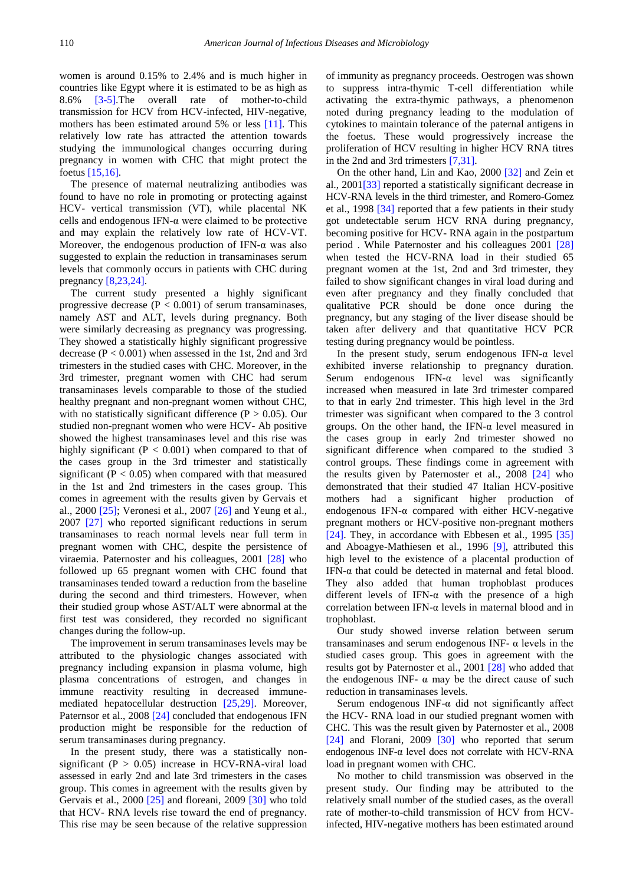women is around 0.15% to 2.4% and is much higher in countries like Egypt where it is estimated to be as high as 8.6% [\[3-5\].](#page-4-1)The overall rate of mother-to-child transmission for HCV from HCV-infected, HIV-negative, mothers has been estimated around 5% or less [\[11\].](#page-4-9) This relatively low rate has attracted the attention towards studying the immunological changes occurring during pregnancy in women with CHC that might protect the foetus [\[15,16\].](#page-4-10)

The presence of maternal neutralizing antibodies was found to have no role in promoting or protecting against HCV- vertical transmission (VT), while placental NK cells and endogenous IFN-α were claimed to be protective and may explain the relatively low rate of HCV-VT. Moreover, the endogenous production of IFN- $\alpha$  was also suggested to explain the reduction in transaminases serum levels that commonly occurs in patients with CHC during pregnancy [\[8,23,24\].](#page-4-3)

The current study presented a highly significant progressive decrease  $(P < 0.001)$  of serum transaminases, namely AST and ALT, levels during pregnancy. Both were similarly decreasing as pregnancy was progressing. They showed a statistically highly significant progressive decrease  $(P < 0.001)$  when assessed in the 1st, 2nd and 3rd trimesters in the studied cases with CHC. Moreover, in the 3rd trimester, pregnant women with CHC had serum transaminases levels comparable to those of the studied healthy pregnant and non-pregnant women without CHC, with no statistically significant difference ( $P > 0.05$ ). Our studied non-pregnant women who were HCV- Ab positive showed the highest transaminases level and this rise was highly significant ( $P < 0.001$ ) when compared to that of the cases group in the 3rd trimester and statistically significant  $(P < 0.05)$  when compared with that measured in the 1st and 2nd trimesters in the cases group. This comes in agreement with the results given by Gervais et al., 2000 [\[25\];](#page-4-11) Veronesi et al., 2007 [\[26\]](#page-4-12) and Yeung et al., 2007 [\[27\]](#page-4-13) who reported significant reductions in serum transaminases to reach normal levels near full term in pregnant women with CHC, despite the persistence of viraemia. Paternoster and his colleagues, 2001 [\[28\]](#page-4-14) who followed up 65 pregnant women with CHC found that transaminases tended toward a reduction from the baseline during the second and third trimesters. However, when their studied group whose AST/ALT were abnormal at the first test was considered, they recorded no significant changes during the follow-up.

The improvement in serum transaminases levels may be attributed to the physiologic changes associated with pregnancy including expansion in plasma volume, high plasma concentrations of estrogen, and changes in immune reactivity resulting in decreased immunemediated hepatocellular destruction [\[25,29\].](#page-4-11) Moreover, Paternsor et al., 2008 [\[24\]](#page-4-15) concluded that endogenous IFN production might be responsible for the reduction of serum transaminases during pregnancy.

In the present study, there was a statistically nonsignificant ( $P > 0.05$ ) increase in HCV-RNA-viral load assessed in early 2nd and late 3rd trimesters in the cases group. This comes in agreement with the results given by Gervais et al., 2000 [\[25\]](#page-4-11) and floreani, 2009 [\[30\]](#page-4-16) who told that HCV- RNA levels rise toward the end of pregnancy. This rise may be seen because of the relative suppression

of immunity as pregnancy proceeds. Oestrogen was shown to suppress intra-thymic T-cell differentiation while activating the extra-thymic pathways, a phenomenon noted during pregnancy leading to the modulation of cytokines to maintain tolerance of the paternal antigens in the foetus. These would progressively increase the proliferation of HCV resulting in higher HCV RNA titres in the 2nd and 3rd trimesters [\[7,31\].](#page-4-2)

On the other hand, Lin and Kao, 2000 [\[32\]](#page-4-17) and Zein et al., 200[1\[33\]](#page-4-18) reported a statistically significant decrease in HCV-RNA levels in the third trimester, and Romero-Gomez et al., 1998 [\[34\]](#page-4-19) reported that a few patients in their study got undetectable serum HCV RNA during pregnancy, becoming positive for HCV- RNA again in the postpartum period . While Paternoster and his colleagues 2001 [\[28\]](#page-4-14) when tested the HCV-RNA load in their studied 65 pregnant women at the 1st, 2nd and 3rd trimester, they failed to show significant changes in viral load during and even after pregnancy and they finally concluded that qualitative PCR should be done once during the pregnancy, but any staging of the liver disease should be taken after delivery and that quantitative HCV PCR testing during pregnancy would be pointless.

In the present study, serum endogenous IFN- $\alpha$  level exhibited inverse relationship to pregnancy duration. Serum endogenous IFN- $\alpha$  level was significantly increased when measured in late 3rd trimester compared to that in early 2nd trimester. This high level in the 3rd trimester was significant when compared to the 3 control groups. On the other hand, the IFN- $\alpha$  level measured in the cases group in early 2nd trimester showed no significant difference when compared to the studied 3 control groups. These findings come in agreement with the results given by Paternoster et al., 2008 [\[24\]](#page-4-15) who demonstrated that their studied 47 Italian HCV-positive mothers had a significant higher production of endogenous IFN-α compared with either HCV-negative pregnant mothers or HCV-positive non-pregnant mothers [\[24\].](#page-4-15) They, in accordance with Ebbesen et al., 1995 [\[35\]](#page-4-20) and Aboagye-Mathiesen et al., 1996 [\[9\],](#page-4-4) attributed this high level to the existence of a placental production of IFN-α that could be detected in maternal and fetal blood. They also added that human trophoblast produces different levels of IFN-α with the presence of a high correlation between IFN-α levels in maternal blood and in trophoblast.

Our study showed inverse relation between serum transaminases and serum endogenous INF- α levels in the studied cases group. This goes in agreement with the results got by Paternoster et al., 2001 [\[28\]](#page-4-14) who added that the endogenous INF-  $\alpha$  may be the direct cause of such reduction in transaminases levels.

Serum endogenous INF- $\alpha$  did not significantly affect the HCV- RNA load in our studied pregnant women with CHC. This was the result given by Paternoster et al., 2008 [\[24\]](#page-4-15) and Florani, 2009 [\[30\]](#page-4-16) who reported that serum endogenous INF-α level does not correlate with HCV-RNA load in pregnant women with CHC.

No mother to child transmission was observed in the present study. Our finding may be attributed to the relatively small number of the studied cases, as the overall rate of mother-to-child transmission of HCV from HCVinfected, HIV-negative mothers has been estimated around